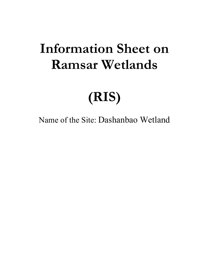## **Information Sheet on Ramsar Wetlands**

# **(RIS)**

Name of the Site: Dashanbao Wetland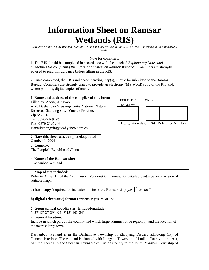### **Information Sheet on Ramsar Wetlands (RIS)**

*Categories approved by Recommendation 4.7, as amended by Resolution VIII.13 of the Conference of the Contracting Parties.* 

Note for compilers:

1. The RIS should be completed in accordance with the attached *Explanatory Notes and Guidelines for completing the Information Sheet on Ramsar Wetlands*. Compilers are strongly advised to read this guidance before filling in the RIS.

2. Once completed, the RIS (and accompanying map(s)) should be submitted to the Ramsar Bureau. Compilers are strongly urged to provide an electronic (MS Word) copy of the RIS and, where possible, digital copies of maps.

#### **1. Name and address of the compiler of this form:**  Filled by: Zhong Xingyao Add: Dashanbao *Grus nigricollis* National Nature Reserve, Zhaotong City, Yunnan Province, Zip 657000 Tel: 0870-2169196 Fax: 0870-2167906 E-mail:zhongxingyao@yahoo.com.cn FOR OFFICE USE ONLY. DD MM YY Designation date Site Reference Number

**2. Date this sheet was completed/updated:**  October 5, 2004

**3. Country:**  The People's Republic of China

### **4. Name of the Ramsar site:**

Dashanbao Wetland

#### **5. Map of site included:**

Refer to Annex III of the *Explanatory Note and Guidelines*, for detailed guidance on provision of suitable maps.

**a) hard copy** (required for inclusion of site in the Ramsar List): *yes*  $\sqrt{ }$ -or- *no*  $\Box$ 

**b) digital (electronic) format** (optional): *yes*  $\mathcal{N}$ -or- *no*  $\Box$ 

#### **6. Geographical coordinates** (latitude/longitude):

N 27º18′-27º29′, E 103º15′-103º24′

#### **7. General location:**

Include in which part of the country and which large administrative region(s), and the location of the nearest large town.

Dashanbao Wetland is in the Dashanbao Township of Zhaoyang District, Zhaotong City of Yunnan Province. The wetland is situated with Longshu Township of Ludian County to the east, Shuimo Township and Suoshan Township of Ludian County to the south, Yanshan Township of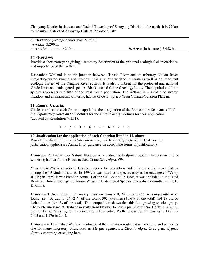Zhaoyang District in the west and Dazhai Township of Zhaoyang District in the north. It is 79 km. to the urban district of Zhaoyang District, Zhaotong City.

**8. Elevation:** (average and/or max. & min.) Average: 3,200m; max.: 3,364m; min.: 2,210m; **9. Area:** (in hectares) 5,958 ha

#### **10. Overview:**

Provide a short paragraph giving a summary description of the principal ecological characteristics and importance of the wetland.

Dashanbao Wetland is at the junction between Jiansha River and its tributary Niulan River integrating water, swamp and meadow. It is a unique wetland in China as well as an important ecologic barrier of the Yangtze River system. It is also a habitat for the protected and national Grade-I rare and endangered species, Black-necked Crane *Grus nigricollis.* The population of this species represents one fifth of the total world population. The wetland is a sub-alpine swamp meadow and an important wintering habitat of *Grus nigricollis* on Yunnan-Guizhou Plateau.

#### **11. Ramsar Criteria:**

Circle or underline each Criterion applied to the designation of the Ramsar site. See Annex II of the *Explanatory Notes and Guidelines* for the Criteria and guidelines for their application (adopted by Resolution VII.11).

 $1 \cdot 2 \cdot 3 \cdot 4 \cdot 5 \cdot 6 \cdot 7 \cdot 8$ 

#### **12. Justification for the application of each Criterion listed in 11. above:**

Provide justification for each Criterion in turn, clearly identifying to which Criterion the justification applies (see Annex II for guidance on acceptable forms of justification).

**Criterion 2:** Dashanbao Nature Reserve is a natural sub-alpine meadow ecosystem and a wintering habitat for the Black-necked Crane *Grus nigricollis*.

*Grus nigricollis* is a national Grade-I species for protection and only crane living on plateau among the 15 kinds of cranes. In 1994, it was rated as a species easy to be endangered (V) by IUCN; in 1995, it was listed in Annex I of the CITES; and in 1996, it was included in the "Red Book on China's Endangered Animals" by the Endangered Species Scientific Committee of the P. R. China.

**Criterion 3:** According to the survey made on January 8, 2000, total 732 *Grus nigricollis* were found, i.e. 402 adults (54.92 % of the total), 305 juveniles (41.6% of the total) and 25 old or isolated ones (3.41% of the total). The composition shows that this is a growing species group. The wintering stage at Dashanbao starts from October to next April, about 176-202 days. In 2002, the number of *Grus nigricollis* wintering at Dashanbao Wetland was 930 increasing to 1,051 in 2003 and 1,176 in 2004.

**Criterion 4:** Dashanbao Wetland is situated at the migration route and is a roosting and wintering site for many migratory birds, such as *Mergus squamatus*, *Ciconia nigra*, *Grus grus*, *Cygnus Cygnus* wintering or staging here.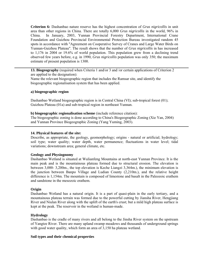**Criterion 6:** Dashanbao nature reserve has the highest concentration of *Grus nigricollis* in unit area than other regions in China. There are totally 6,000 *Grus nigricollis* in the world, 96% in China. In January, 2003, Yunnan Provincial Forestry Department, International Crane Foundation and Guizhou Provincial Environmental Protection Bureau investigated random 45 spots in accordance with "Agreement on Cooperative Survey of Cranes and Large Water Birds on Yunnan-Guizhou Plateau". The result shows that the number of *Grus nigricollis* in has increased to 1,176 in 2004 or 19.6% of world population. This population grew from a declining trend observed few years before, e.g. in 1990, *Grus nigricollis* population was only 350; the maximum estimate of present population is 1300.

**13. Biogeography** (required when Criteria 1 and/or 3 and /or certain applications of Criterion 2 are applied to the designation):

Name the relevant biogeographic region that includes the Ramsar site, and identify the biogeographic regionalisation system that has been applied.

#### **a) biogeographic region**

Dashanbao Wetland biogeographic region is in Central China (VI); sub-tropical forest (01); Guizhou Plateau (01a) and sub-tropical region in northeast Yunnan.

**b) biogeographic regionalisation scheme** (include reference citation):

The biogeographic zoning is done according to China's Biogeographic Zoning (Xie Yan, 2004) and Yunnan Province Biogeographic Zoning (Yang Yuming, 2003).

#### **14. Physical features of the site:**

Describe, as appropriate, the geology, geomorphology; origins - natural or artificial; hydrology; soil type; water quality; water depth, water permanence; fluctuations in water level; tidal variations; downstream area; general climate, etc.

#### **Geology and Physiognomy**

Dashanbao Wetland is situated at Wulianfeng Mountains at north-east Yunnan Province. It is the main peak and is the mountainous plateau formed due to structural erosion. The elevation is between 3,000- 3,200m., the top elevation is Keche Liangzi 3,364m.), the minimum elevation is the junction between Banpo Village and Ludian County (2,210m.), and the relative height difference is 1,154m. The mountain is composed of limestone and basalt in the Paleozoic erathem and sandstone in the mesozoic erathem.

#### **Origin**

Dashanbao Wetland has a natural origin. It is a part of quasi-plain in the early tertiary, and a mountainous plateau terrain was formed due to the powerful cutting by Jiansha River, Hengjiang River and Niulan River along with the uplift of the earth's crust; but a mild high plateau surface is kept at the peak. The reservoir in the wetland is human-made.

#### **Hydrology**

Dashanbao is the cradle of many rivers and all belong to the Jinsha River system on the upstream of Yangtze River. There are many upland swamp meadows and thousands of underground springs with good water quality, which form an area of 3,150 ha plateau wetland.

#### **Soil types and their chemical properties**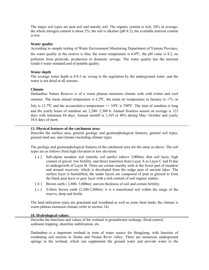The major soil types are peat soil and marshy soil. The organic content is rich, 20% in average; the whole nitrogen content is about 2%; the soil is alkaline (pH 8.2); the available nutrient content is low.

#### **Water quality**

According to sample testing of Water Environment Monitoring Department of Yunnan Province,

the water quality in the reserve is fine, the water temperature is  $6.0\degree C$ , the pH value is 8.2, no pollution from pesticide, production or domestic sewage. The water quality has the national Grade-I water standard and of potable quality.

#### **Water depth**

The average water depth is 0.8-3 m. owing to the regulation by the underground water, and the water is not dried at all seasons.

#### **Climate**

Dashanbao Nature Reserve is of a warm plateau monsoon climate with cold winter and cool summer. The mean annual temperature is  $6.2^{\circ}$ C, the mean air temperature in January is  $-1^{\circ}$ c, in

July is 12.7<sup>o</sup>C and the accumulative temperature  $\ge$  = 10<sup>o</sup>C is 798<sup>o</sup>C. The time of sunshine is long and the yearly hours of sunshine are 2,200- 2,300 h. Annual frostless season on average is 123 days with minimum 84 days. Annual rainfall is 1,165 or 88% during May- October and yearly 34.6 days of snow.

#### **15. Physical features of the catchment area:**

Describe the surface area, general geology and geomorphological features, general soil types, general land use, and climate (including climate type).

The geology and geomorphological features of the catchment area are the same as above. The soil types are as follows from high elevation to low elevation:

- (a) Sub-alpine meadow soil (marshy soil partly) (above 3,000m): thin soil layer, high content of gravel, low fertility, and direct transition from Layer A to Layer C and D due to undergrowth of Layer B. There are certain marshy soils at the lower part of meadow and around reservoir, which is developed from the sedge peat of ancient lakes. The surface layer is humidified, the under layers are composed of peat or gleized to form the black peat layer or grey layer with a rich content of soil organic matter;
- (b) Brown earth ( 2,800- 3,000m): uneven thickness of soil and certain fertility;
- (c) Yellow brown earth (2,200-2,800m): it is a transitional soil within the range of the reserve, deep and fertile.

The land utilization types are grassland and woodland as well as some farm lands; the climate is warm plateau monsoon climate (refer to section 14).

#### **16. Hydrological values:**

Describe the functions and values of the wetland in groundwater recharge, flood control, sediment trapping, shoreline stabilization, etc.

Dashanbao is a important wetland in term of water source for Hengjiang, with function of combating soil erosion in Jinsha and Niulan River valley. There are numerous underground springs in the wetland, which can supplement the ground water and provide water to the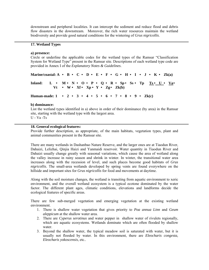downstream and peripheral localities. It can intercept the sediment and reduce flood and debris flow disasters in the downstream. Moreover, the rich water resources maintain the wetland biodiversity and provide good natural conditions for the wintering of *Grus nigricollis*.

#### **17. Wetland Types**

#### **a) presence:**

Circle or underline the applicable codes for the wetland types of the Ramsar "Classification System for Wetland Type" present in the Ramsar site. Descriptions of each wetland type code are provided in Annex I of the *Explanatory Notes & Guidelines*.

| Marine/coastal: A • B • C • D • E • F • G • H • I • J • K • Zk(a)                    |                                   |  |  |  |  |  |  |  |  |  |  |  |  |
|--------------------------------------------------------------------------------------|-----------------------------------|--|--|--|--|--|--|--|--|--|--|--|--|
| Inland: L • M • N • O • P • Q • R • Sp • Ss • Tp $\text{Ts} \cdot U \cdot \text{Va}$ | Vt • W • Xf • Xp • Y • Zg • Zk(b) |  |  |  |  |  |  |  |  |  |  |  |  |
| Human-made: 1 . 2 . 3 . 4 . 5 . 6 . 7 . 8 . 9 . Zk(c)                                |                                   |  |  |  |  |  |  |  |  |  |  |  |  |

#### **b) dominance:**

List the wetland types identified in a) above in order of their dominance (by area) in the Ramsar site, starting with the wetland type with the largest area.  $U - Va - Ts$ 

#### **18. General ecological features:**

Provide further description, as appropriate, of the main habitats, vegetation types, plant and animal communities present in the Ramsar site.

There are many wetlands in Dashanbao Nature Reserve, and the larger ones are at Tiaodun River, Dahaizi, Lelizhai, Qinjia Haizi and Yanmaidi reservoir. Water quantity in Tiaodun River and Dahaizi usually change greatly with seasonal variations, which cause the area of wetland along the valley increase in rainy season and shrink in winter. In winter, the transitional water area increases along with the recession of level, and such places become good habitats of *Grus nigricollis*. The small-area wetlands developed by spring vents are found everywhere on the hillside and important sites for *Grus nigricollis* for food and movements at daytime.

Along with the soil moisture changes, the wetland is transiting from aquatic environment to xeric environment, and the overall wetland ecosystem is a typical ecotone dominated by the water factor. The different plant ages, climatic conditions, elevations and landforms decide the ecological features of specific areas.

There are few sub-merged vegetation and emerging vegetation at the existing wetland environment.

- 1. There is shallow water vegetation that gives priority to *Poa annua Linn* and *Geum aleppicum* at the shallow water area.
- 2. There are *Cyperus serotinus* and water pepper in shallow water of rivulets regionally, which are aquatic ecosystems. Wetlands dominate which are often flooded by shallow water.
- 3. Beyond the shallow water, the typical meadow soil is saturated with water, but it is usually not flooded by water. In this environment, there are *Eleocharis congesta, Eleocharis yokoscensis*, etc..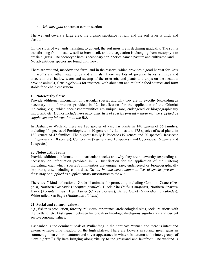4. *Iris laevigata* appears at certain sections.

The wetland covers a large area, the organic substance is rich, and the soil layer is thick and elastic.

On the slops of wetlands transiting to upland, the soil moisture is declining gradually. The soil is transforming from meadow soil to brown soil, and the vegetation is changing from mesophyte to artificial grass. The coenotype here is secondary shrubberies, tamed pasture and cultivated land. No adventitious species are found until now.

There are wetland, meadow and farm land in the reserve, which provides a good habitat for *Grus nigricollis* and other water birds and animals. There are lots of juvenile fishes, shrimps and insects in the shallow water and swamp of the reservoir, and plants and crops on the meadow provide animals, *Grus nigricollis* for instance, with abundant and multiple food sources and form stable food chain ecosystem.

#### **19. Noteworthy flora:**

Provide additional information on particular species and why they are noteworthy (expanding as necessary on information provided in 12. Justification for the application of the Criteria) indicating, e.g., which species/communities are unique, rare, endangered or biogeographically important, etc. *Do not include here taxonomic lists of species present – these may be supplied as supplementary information to the RIS.* 

In Dashanbao Wetland, there are 186 species of vascular plants in 140 genera of 56 families, including 11 species of Pteridophyta in 10 genera of 9 families and 175 species of seed plants in 130 genera of 47 families. The biggest family is Poaceae (19 genera and 20 species); Rosaceae (12 genera and 18 species); Compositae (7 genera and 10 species); and Cyperaceae (6 genera and 10 species).

#### **20. Noteworthy fauna:**

Provide additional information on particular species and why they are noteworthy (expanding as necessary on information provided in 12. Justification for the application of the Criteria) indicating, e.g., which species/communities are unique, rare, endangered or biogeographically important, etc., including count data. *Do not include here taxonomic lists of species present – these may be supplied as supplementary information to the RIS.*

There are 7 kinds of national Grade II animals for protection, including Common Crane (*Grus grus*), Northern Goshawk (*Accipiter gentiles*), Black Kite (*Milvus migrans*), Northern Sparrow Hawk (*Accipiter nisus*)*,* Hen Harrier (*Circus cyaneus*), Barred Owlet (*Glaucidium cuculoides*)*,*  White-tailed Sea Eagle (*Haliaeetus albicilla*).

#### **21. Social and cultural values:**

e.g., fisheries production, forestry, religious importance, archaeological sites, social relations with the wetland, etc. Distinguish between historical/archaeological/religious significance and current socio-economic values.

Dashanbao is the dominant peak of Wulianfeng in the northeast Yunnan and there is intact and extensive sub-alpine meadow on the high plateau. There are flowers in spring, green grass in summer, golden color in autumn and silver appearance in winter. In autumn and winter, groups of *Grus nigricollis* fly here bringing along vitality to the grassland and lakefront. The wetland is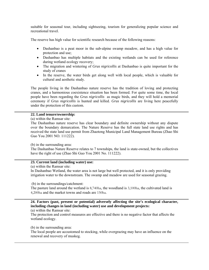suitable for seasonal tour, including sightseeing, tourism for generalizing popular science and recreational travel.

The reserve has high value for scientific research because of the following reasons:

- Dashanbao is a peat moor in the sub-alpine swamp meadow, and has a high value for protection and use;
- Dashanbao has multiple habitats and the existing wetlands can be used for reference during wetland ecology recovery;
- The migration and wintering of *Grus nigricollis* at Dashanbao is quite important for the study of cranes
- In the reserve, the water birds get along well with local people, which is valuable for cultural and aesthetic study.

The people living in the Dashanbao nature reserve has the tradition of loving and protecting cranes, and a harmonious coexistence situation has been formed. For quite some time, the local people have been regarding the *Grus nigricollis* as magic birds, and they will hold a memorial ceremony if *Grus nigricollis* is hunted and killed. *Grus nigricollis* are living here peacefully under the protection of this custom.

#### **22. Land tenure/ownership:**

(a) within the Ramsar site:

The Dashanbao nature reserve has clear boundary and definite ownership without any dispute over the boundary demarcation. The Nature Reserve has the full state land use rights and has received the state land use permit from Zhaotong Municipal Land Management Bureau (Zhao Shi Guo You 2001 NO. 111222).

(b) in the surrounding area:

The Dashanbao Nature Reserve relates to 7 townships, the land is state-owned, but the collectives have the right of use (Zhao Shi Guo You 2001 No. 111222).

#### **23. Current land (including water) use:**

(a) within the Ramsar site:

In Dashanbao Wetland, the water area is not large but well protected, and it is only providing irrigation water to the downstream. The swamp and meadow are used for seasonal grazing.

(b) in the surroundings/catchment:

The pasture land around the wetland is 8,740ha, the woodland is 3,100ha, the cultivated land is 4,200ha and the market towns and roads are 150ha.

#### **24. Factors (past, present or potential) adversely affecting the site's ecological character, including changes in land (including water) use and development projects:**

(a) within the Ramsar site:

The protection and control measures are effective and there is no negative factor that affects the wetland ecology.

(b) in the surrounding area:

The local people are accustomed to stocking, while overgrazing may have an influence on the renewal and recovery of muskeg.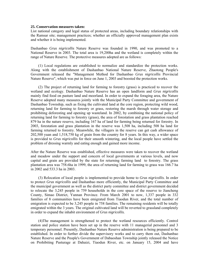#### **25. Conservation measures taken:**

List national category and legal status of protected areas, including boundary relationships with the Ramsar site; management practices; whether an officially approved management plan exists and whether it is being implemented.

Dashanbao *Grus nigricollis* Nature Reserve was founded in 1990, and was promoted to a National Reserve in 2003. The total area is 19,200ha and the wetland is completely within the range of Nature Reserve. The protective measures adopted are as follows:

(1) Local regulations are established to normalize and standardize the protection works. Along with the establishment of Dashanbao National Nature Reserve, Zhaotong People's Government released the "Management Method for Dashanbao *Grus nigricollis* Provincial Nature Reserve", which was put in force on June 1, 2003 and boosted the protection works.

(2) The project of returning land for farming to forestry (grass) is practiced to recover the wetland and ecology. Dashanbao Nature Reserve has an open landform and *Grus nigricollis* mainly find food on pasture land and moorland. In order to expand the foraging area, the Nature Reserve adopted many measures jointly with the Municipal Party Committee and government of Dashanbao Township, such as fixing the cultivated land at the core region, protecting wild wood, returning land for farming to forestry or grass, restoring the marsh through water storage and prohibiting deforesting and opening up wasteland. In 2002, by combining the national policy of returning land for farming to forestry (grass), the area of forestation and grass plantation reached 879 ha in the nature reserve, including 167 ha of land for farming being returned for forestry. In 2003, forestation and grass plantation in the reserve was 1,508 ha, including 508 ha land for farming returned to forestry. Meanwhile, the villagers in the reserve can get cash allowance of 202,500 yuan and 1,518,750 kg of grain from the country for 8 years. In this way, a wider space is provided to *Grus nigricollis* for their smooth wintering, and the local people have settled the problem of dressing warmly and eating enough and gained more income.

After the Nature Reserve was established, effective measures were taken to recover the wetland and meadow under the support and concern of local governments at various levels, and now capital and grain are provided by the state for returning farming land to forestry. The grass plantation area was 758.6ha in 1999, the area of returning land for farming to grass was 166.7 ha in 2002 and 533.3 ha in 2003.

(3) Relocation of local people is implemented to provide home to *Grus nigricollis*. In order to protect *Grus nigricollis* and Dashanbao more efficiently, the Municipal Party Committee and the municipal government as well as the district party committee and district government decided to relocate the 3,245 people in 759 households in the core space of the reserve to Jiancheng County, Simao District, Yunnan Province. From March 2001 to now, 1,337 people in 332 families of 8 communities have been emigrated from Tiaodun River, and the total number of emigration is expected to be 3,245 people in 758 families. The remaining residents will be totally emigrated within the 3 years. The original cultivated land will be reverted to grassland completely in order to expand the inhabit environment of *Grus nigricollis.* 

(4)The management is strengthened to protect the wetland resources efficiently. Control station and police station have been set up in the reserve with 11 managerial personnel and 3 temporary personnel. Presently, Dashanbao Nature Reserve administration is being prepared to be established. In order to further divide the supervisory works and to carry them out, Dashanbao Nature Reserve and the People's Government of Dabaoshan Township jointly released the Notice on Prohibiting Pasturage at Dahaizi, Tiaodun River, etc. on January 15, 2004 and have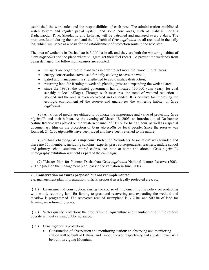established the work rules and the responsibilities of each post. The administration established watch system and regular patrol system, and some core areas, such as Dahaizi, Longjia Dadi,Tiaodun Rive, Shuidaoliu and Lelizhai, will be patrolled and managed every 3 days. The problems found during the patrol and the life habit of *Grus nigricollis* are all recorded in the daily log, which will serve as a basis for the establishment of protection route in the next step.

The area of wetlands in Dashanbao is 3,000 ha in all, and they are both the wintering habitat of *Grus nigricollis* and the place where villagers get their fuel (peat). To prevent the wetlands from being damaged, the following measures are adopted:

- villagers are organized to plant trees in order to get more fuel wood in rural areas;
- energy conservation stove used for daily cooking to save the wood;
- patrol and management is strengthened to avoid malice destruction;
- returning land for farming to wetland, planting grass and expanding the wetland area;
- since the 1990's, the district government has allocated 130,000 yuan yearly for coal subsidy to local villages. Through such measures, the trend of wetland reduction is stopped and the area is even recovered and expanded. It is positive for improving the ecologic environment of the reserve and guarantees the wintering habitat of *Grus nigricollis*.

(5) All kinds of media are utilized to publicize the importance and value of protecting *Grus nigricollis* and their habitat. At the evening of March 18, 2003, an introduction of Dashanbao Nature Reserve was played on the western channel of CCTV for half an hour, as well as a special documentary film on the protection of *Grus nigricollis* by local people. Since the reserve was founded, 24 *Grus nigricollis* have been saved and have been returned to the nature.

(6) "China Zhaotong *Grus nigricollis* Protection Volunteers Association" was founded and there are 150 members, including scholars, experts, press correspondents, teachers, middle school and primary school students, retired cadres, etc. both at home and abroad. *Grus nigricollis* photography exhibition was held as part of the campaign.

 (7) "Master Plan for Yunnan Dashanbao *Grus nigricollis* National Nature Reserve (2003- 2012)" (include the management plan) passed the valuation in June, 2003.

#### **26. Conservation measures proposed but not yet implemented:**

e.g. management plan in preparation; official proposal as a legally protected area, etc.

(1) Environmental construction: during the course of implementing the policy on protecting wild wood, returning land for faming to grass and recovering and expanding the wetland and meadow is programmed. The recovered area of swampland is 312 ha, and 500 ha of land for farming are returned to grass.

(2) Water quality protection: the crop farming, aquaculture and manufacturing in the reserve operate without causing public nuisance.

- (3) *Grus nigricollis* protection:
	- Construction of observation and monitoring station: an observing and monitoring station will be built at Dahaizi and Tiaodun River respectively and a watch tower will be built on Jigong Mountain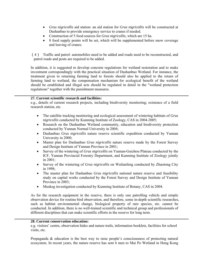- *Grus nigricollis* aid station: an aid station for *Grus nigricollis* will be constructed at Dashanbao to provide emergency service to cranes if needed.
- Construction of 5 food sources for *Grus nigricollis*, which are 15 ha.
- 8 food supply points will be set, which will be supplemented before snow coverage and leaving of cranes.

(4) Traffic and patrol: automobiles need to be added and roads need to be reconstructed, and patrol roads and posts are required to be added.

In addition, it is suggested to develop concrete regulations for wetland restoration and to make investment correspondingly with the practical situation of Dashanbao Wetland. For instance, the treatment given to returning farming land to forests should also be applied to the return of farming land to wetland, the compensation mechanism for ecological benefit of the wetland should be established and illegal acts should be regulated in detail in the "wetland protection regulations" together with the punishment measures.

#### **27. Current scientific research and facilities:**

e.g., details of current research projects, including biodiversity monitoring; existence of a field research station, etc.

- The satellite tracking monitoring and ecological assessment of wintering habitats of *Grus nigricollis* conducted by Kunming Institute of Zoology, CAS in 2004-2005;
- Research on the Dashanbao Wetland community, education and biodiversity protection conducted by Yunnan Normal University in 2004;
- Dashanbao *Grus nigricollis* nature reserve scientific expedition conducted by Yunnan University in 2000;
- Master plan for Dashanbao *Grus nigricollis* nature reserve made by the Forest Survey and Design Institute of Yunnan Province in 2001;
- Survey of the wintering of *Grus nigricollis* on Yunnan-Guizhou Plateau conducted by the ICF, Yunnan Provincial Forestry Department, and Kunming Institute of Zoology jointly in 2001;
- Survey of the wintering of *Grus nigricollis* on Wulianfeng conducted by Zhaotong City in 1998;
- The master plan for Dashanbao *Grus nigricollis* national nature reserve and feasibility study on capital works conducted by the Forest Survey and Design Institute of Yunnan Province in 2003;
- Muskeg investigation conducted by Kunming Institute of Botany, CAS in 2004.

As for the research equipment in the reserve, there is only one patrolling vehicle and simple observation device for routine bird observation, and therefore, some in-depth scientific researches, such as habitat environmental change, biological property of rare species, etc. cannot be conducted. In addition, there is no well-trained scientific and technical group and professionals of different disciplines that can make scientific efforts in the reserve for long term.

#### **28. Current conservation education:**

e.g. visitors' centre, observation hides and nature trails, information booklets, facilities for school visits, etc.

Propaganda & education is the best way to raise people's consciousness of protecting natural ecosystem. In recent years, the nature reserve has sent 6 men to Mai Po Wetland in Hong Kong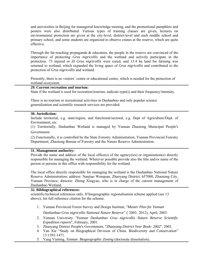and universities in Beijing for managerial knowledge training, and the promotional pamphlets and posters were also distributed. Various types of training classes are given, lectures on environmental protection are given at the city-level, district-level and each middle school and primary school, and some students are organized to observe cranes at the reserve, which are quite effective.

Through the far-reaching propaganda & education, the people in the reserve are convinced of the importance of protecting *Grus nigricollis* and the wetland and actively participate in the protection. 73 injured or ill *Grus nigricollis* were cured, and 13.4 ha land for farming was returned to wetland, which expanded the living space of *Grus nigricollis* and contributed to the protection of *Grus nigricollis* and wetland.

Presently, there is no visitors' centre or educational centre, which is needed for the protection of wetland ecosystem.

#### **29. Current recreation and tourism:**

State if the wetland is used for recreation/tourism; indicate type(s) and their frequency/intensity.

There is no tourism or recreational activities in Dashanbao and only popular science generalization and scientific research services are provided.

#### **30. Jurisdiction:**

Include territorial, e.g. state/region, and functional/sectoral, e.g. Dept of Agriculture/Dept. of Environment, etc.

(1) Territorially, Dashanbao Wetland is managed by Yunnan Zhaotong Municipal People's Government.

(2) Functionally, it is controlled by the State Forestry Administration, Yunnan Provincial Forestry Department, Zhaotong Bureau of Forestry and the Nature Reserve Administration.

#### **31. Management authority:**

Provide the name and address of the local office(s) of the agency(ies) or organisation(s) directly responsible for managing the wetland. Wherever possible provide also the title and/or name of the person or persons in this office with responsibility for the wetland.

The local office directly responsible for managing the wetland is the Dashanbao National Nature Reserve Administration; address: Nanjiao Wenquan, Zhaoyang District, 657000, Zhaotong City, Yunnan Province; director: Zhong Xingyao, who is in charge of the current management of Dashanbao Wetland.

#### **32. Bibliographical references:**

scientific/technical references only. If biogeographic regionalisation scheme applied (see 13 above), list full reference citation for the scheme.

- 1. Yunnan Provincial Forest Survey and Design Institute, "*Master Plan for Yunnan Dashanbao Grus nigricollis National Nature Reserve*"(2003- 2012), April, 2003.
- 2. Yunnan University *"Yunnan Dashanbao Grus nigricollis Nature Reserve Scientific Expedition reports*", February, 2001.
- 3. Zhaoyang District People's Government, "*Zhaoyang District Year Book- 2002*", 2003.
- 4. Yan Xie "Study on Biographical Division of China. Biodiversity and Conservation" 13:1391-1471.
- 5. Yang Yuming, *Yunnan Biogeographic Zoning* (doctorate dissertation).